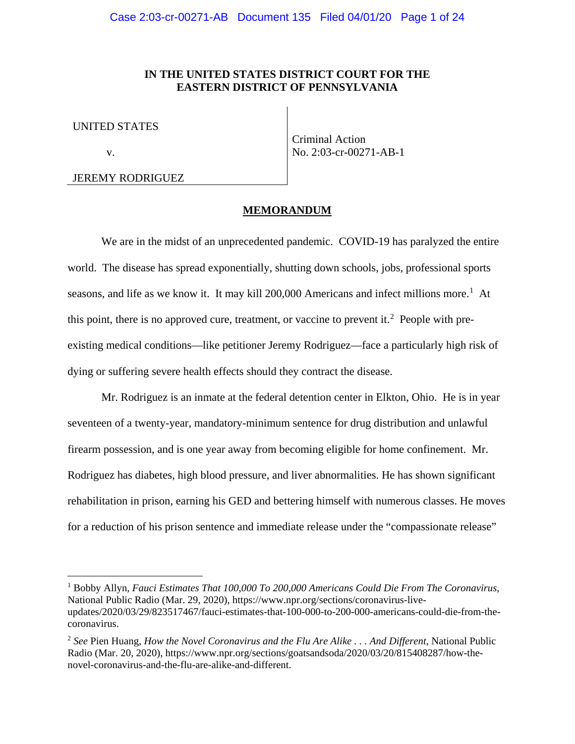## **IN THE UNITED STATES DISTRICT COURT FOR THE EASTERN DISTRICT OF PENNSYLVANIA**

UNITED STATES

v.

 $\overline{a}$ 

Criminal Action No. 2:03-cr-00271-AB-1

# JEREMY RODRIGUEZ

#### **MEMORANDUM**

We are in the midst of an unprecedented pandemic. COVID-19 has paralyzed the entire world. The disease has spread exponentially, shutting down schools, jobs, professional sports seasons, and life as we know it. It may kill 200,000 Americans and infect millions more.<sup>1</sup> At this point, there is no approved cure, treatment, or vaccine to prevent it.<sup>2</sup> People with preexisting medical conditions—like petitioner Jeremy Rodriguez—face a particularly high risk of dying or suffering severe health effects should they contract the disease.

Mr. Rodriguez is an inmate at the federal detention center in Elkton, Ohio. He is in year seventeen of a twenty-year, mandatory-minimum sentence for drug distribution and unlawful firearm possession, and is one year away from becoming eligible for home confinement. Mr. Rodriguez has diabetes, high blood pressure, and liver abnormalities. He has shown significant rehabilitation in prison, earning his GED and bettering himself with numerous classes. He moves for a reduction of his prison sentence and immediate release under the "compassionate release"

<sup>1</sup> Bobby Allyn, *Fauci Estimates That 100,000 To 200,000 Americans Could Die From The Coronavirus*, National Public Radio (Mar. 29, 2020), https://www.npr.org/sections/coronavirus-liveupdates/2020/03/29/823517467/fauci-estimates-that-100-000-to-200-000-americans-could-die-from-thecoronavirus.

<sup>2</sup> *See* Pien Huang, *How the Novel Coronavirus and the Flu Are Alike . . . And Different*, National Public Radio (Mar. 20, 2020), https://www.npr.org/sections/goatsandsoda/2020/03/20/815408287/how-thenovel-coronavirus-and-the-flu-are-alike-and-different.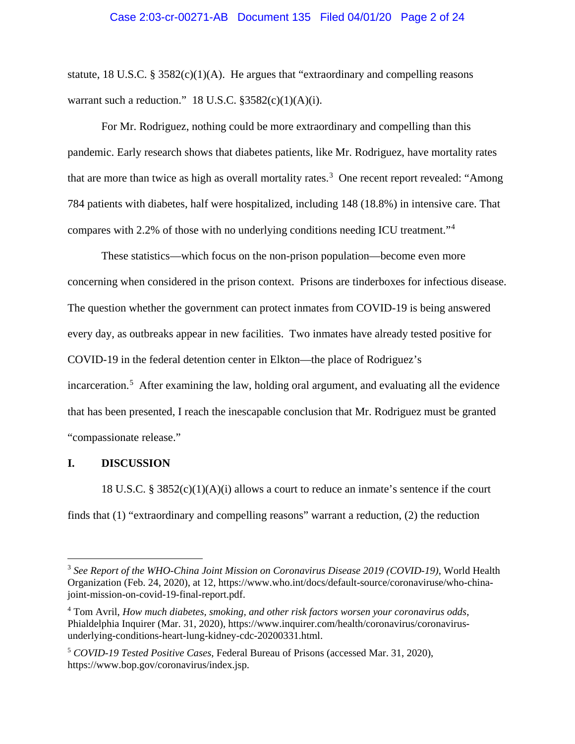#### Case 2:03-cr-00271-AB Document 135 Filed 04/01/20 Page 2 of 24

statute, 18 U.S.C. § 3582 $(c)(1)(A)$ . He argues that "extraordinary and compelling reasons" warrant such a reduction." 18 U.S.C.  $$3582(c)(1)(A)(i)$ .

For Mr. Rodriguez, nothing could be more extraordinary and compelling than this pandemic. Early research shows that diabetes patients, like Mr. Rodriguez, have mortality rates that are more than twice as high as overall mortality rates.<sup>3</sup> One recent report revealed: "Among 784 patients with diabetes, half were hospitalized, including 148 (18.8%) in intensive care. That compares with 2.2% of those with no underlying conditions needing ICU treatment."<sup>4</sup>

These statistics—which focus on the non-prison population—become even more concerning when considered in the prison context. Prisons are tinderboxes for infectious disease. The question whether the government can protect inmates from COVID-19 is being answered every day, as outbreaks appear in new facilities. Two inmates have already tested positive for COVID-19 in the federal detention center in Elkton—the place of Rodriguez's incarceration. <sup>5</sup> After examining the law, holding oral argument, and evaluating all the evidence that has been presented, I reach the inescapable conclusion that Mr. Rodriguez must be granted "compassionate release."

## **I. DISCUSSION**

 $\overline{a}$ 

18 U.S.C. § 3852(c)(1)(A)(i) allows a court to reduce an inmate's sentence if the court finds that (1) "extraordinary and compelling reasons" warrant a reduction, (2) the reduction

<sup>3</sup> *See Report of the WHO-China Joint Mission on Coronavirus Disease 2019 (COVID-19)*, World Health Organization (Feb. 24, 2020), at 12, https://www.who.int/docs/default-source/coronaviruse/who-chinajoint-mission-on-covid-19-final-report.pdf.

<sup>4</sup> Tom Avril, *How much diabetes, smoking, and other risk factors worsen your coronavirus odds*, Phialdelphia Inquirer (Mar. 31, 2020), https://www.inquirer.com/health/coronavirus/coronavirusunderlying-conditions-heart-lung-kidney-cdc-20200331.html.

<sup>5</sup> *COVID-19 Tested Positive Cases*, Federal Bureau of Prisons (accessed Mar. 31, 2020), https://www.bop.gov/coronavirus/index.jsp.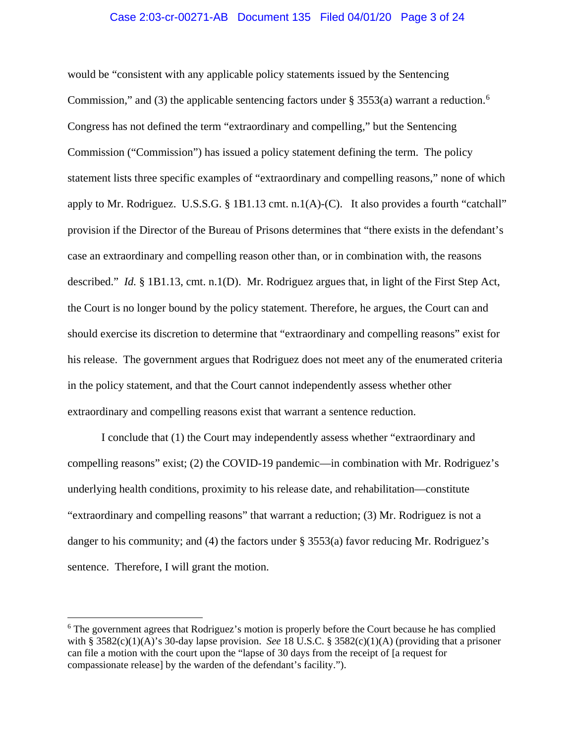#### Case 2:03-cr-00271-AB Document 135 Filed 04/01/20 Page 3 of 24

would be "consistent with any applicable policy statements issued by the Sentencing Commission," and (3) the applicable sentencing factors under § 3553(a) warrant a reduction.<sup>6</sup> Congress has not defined the term "extraordinary and compelling," but the Sentencing Commission ("Commission") has issued a policy statement defining the term. The policy statement lists three specific examples of "extraordinary and compelling reasons," none of which apply to Mr. Rodriguez. U.S.S.G. § 1B1.13 cmt. n.1(A)-(C). It also provides a fourth "catchall" provision if the Director of the Bureau of Prisons determines that "there exists in the defendant's case an extraordinary and compelling reason other than, or in combination with, the reasons described." *Id.* § 1B1.13, cmt. n.1(D). Mr. Rodriguez argues that, in light of the First Step Act, the Court is no longer bound by the policy statement. Therefore, he argues, the Court can and should exercise its discretion to determine that "extraordinary and compelling reasons" exist for his release. The government argues that Rodriguez does not meet any of the enumerated criteria in the policy statement, and that the Court cannot independently assess whether other extraordinary and compelling reasons exist that warrant a sentence reduction.

I conclude that (1) the Court may independently assess whether "extraordinary and compelling reasons" exist; (2) the COVID-19 pandemic—in combination with Mr. Rodriguez's underlying health conditions, proximity to his release date, and rehabilitation—constitute "extraordinary and compelling reasons" that warrant a reduction; (3) Mr. Rodriguez is not a danger to his community; and (4) the factors under § 3553(a) favor reducing Mr. Rodriguez's sentence. Therefore, I will grant the motion.

<sup>&</sup>lt;sup>6</sup> The government agrees that Rodriguez's motion is properly before the Court because he has complied with § 3582(c)(1)(A)'s 30-day lapse provision. *See* 18 U.S.C. § 3582(c)(1)(A) (providing that a prisoner can file a motion with the court upon the "lapse of 30 days from the receipt of [a request for compassionate release] by the warden of the defendant's facility.").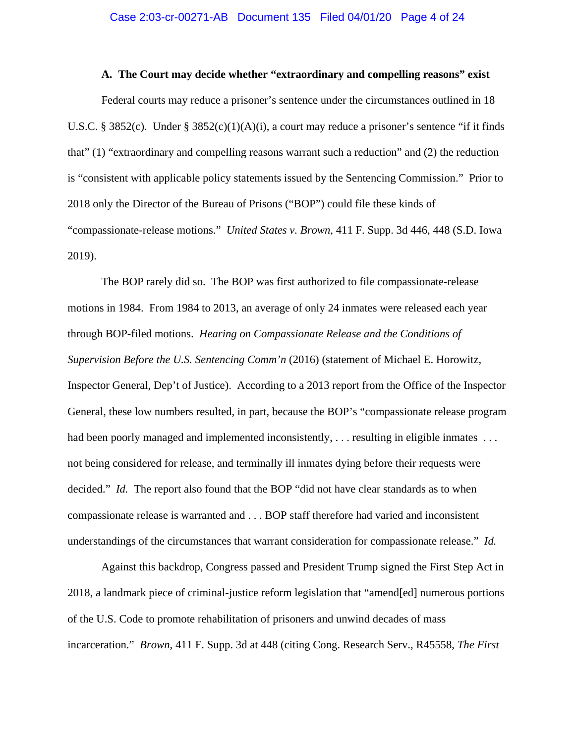#### **A. The Court may decide whether "extraordinary and compelling reasons" exist**

Federal courts may reduce a prisoner's sentence under the circumstances outlined in 18 U.S.C. § 3852(c). Under § 3852(c)(1)(A)(i), a court may reduce a prisoner's sentence "if it finds that" (1) "extraordinary and compelling reasons warrant such a reduction" and (2) the reduction is "consistent with applicable policy statements issued by the Sentencing Commission." Prior to 2018 only the Director of the Bureau of Prisons ("BOP") could file these kinds of "compassionate-release motions." *United States v. Brown*, 411 F. Supp. 3d 446, 448 (S.D. Iowa 2019).

The BOP rarely did so. The BOP was first authorized to file compassionate-release motions in 1984. From 1984 to 2013, an average of only 24 inmates were released each year through BOP-filed motions. *Hearing on Compassionate Release and the Conditions of Supervision Before the U.S. Sentencing Comm'n* (2016) (statement of Michael E. Horowitz, Inspector General, Dep't of Justice). According to a 2013 report from the Office of the Inspector General, these low numbers resulted, in part, because the BOP's "compassionate release program had been poorly managed and implemented inconsistently, ... resulting in eligible inmates ... not being considered for release, and terminally ill inmates dying before their requests were decided." *Id.* The report also found that the BOP "did not have clear standards as to when compassionate release is warranted and . . . BOP staff therefore had varied and inconsistent understandings of the circumstances that warrant consideration for compassionate release." *Id.* 

Against this backdrop, Congress passed and President Trump signed the First Step Act in 2018, a landmark piece of criminal-justice reform legislation that "amend[ed] numerous portions of the U.S. Code to promote rehabilitation of prisoners and unwind decades of mass incarceration." *Brown*, 411 F. Supp. 3d at 448 (citing Cong. Research Serv., R45558, *The First*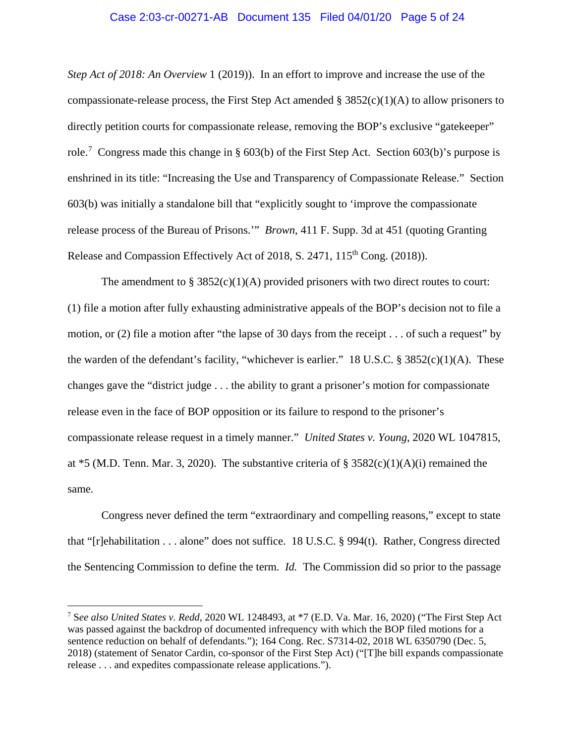#### Case 2:03-cr-00271-AB Document 135 Filed 04/01/20 Page 5 of 24

*Step Act of 2018: An Overview* 1 (2019)). In an effort to improve and increase the use of the compassionate-release process, the First Step Act amended  $\S 3852(c)(1)(A)$  to allow prisoners to directly petition courts for compassionate release, removing the BOP's exclusive "gatekeeper" role.<sup>7</sup> Congress made this change in § 603(b) of the First Step Act. Section 603(b)'s purpose is enshrined in its title: "Increasing the Use and Transparency of Compassionate Release." Section 603(b) was initially a standalone bill that "explicitly sought to 'improve the compassionate release process of the Bureau of Prisons.'" *Brown*, 411 F. Supp. 3d at 451 (quoting Granting Release and Compassion Effectively Act of 2018, S. 2471, 115<sup>th</sup> Cong. (2018)).

The amendment to  $\S 3852(c)(1)(A)$  provided prisoners with two direct routes to court: (1) file a motion after fully exhausting administrative appeals of the BOP's decision not to file a motion, or (2) file a motion after "the lapse of 30 days from the receipt . . . of such a request" by the warden of the defendant's facility, "whichever is earlier." 18 U.S.C.  $\S$  3852(c)(1)(A). These changes gave the "district judge . . . the ability to grant a prisoner's motion for compassionate release even in the face of BOP opposition or its failure to respond to the prisoner's compassionate release request in a timely manner." *United States v. Young*, 2020 WL 1047815, at  $*5$  (M.D. Tenn. Mar. 3, 2020). The substantive criteria of § 3582(c)(1)(A)(i) remained the same.

Congress never defined the term "extraordinary and compelling reasons," except to state that "[r]ehabilitation . . . alone" does not suffice. 18 U.S.C. § 994(t). Rather, Congress directed the Sentencing Commission to define the term. *Id.* The Commission did so prior to the passage

<sup>7</sup> S*ee also United States v. Redd*, 2020 WL 1248493, at \*7 (E.D. Va. Mar. 16, 2020) ("The First Step Act was passed against the backdrop of documented infrequency with which the BOP filed motions for a sentence reduction on behalf of defendants."); 164 Cong. Rec. S7314-02, 2018 WL 6350790 (Dec. 5, 2018) (statement of Senator Cardin, co-sponsor of the First Step Act) ("[T]he bill expands compassionate release . . . and expedites compassionate release applications.").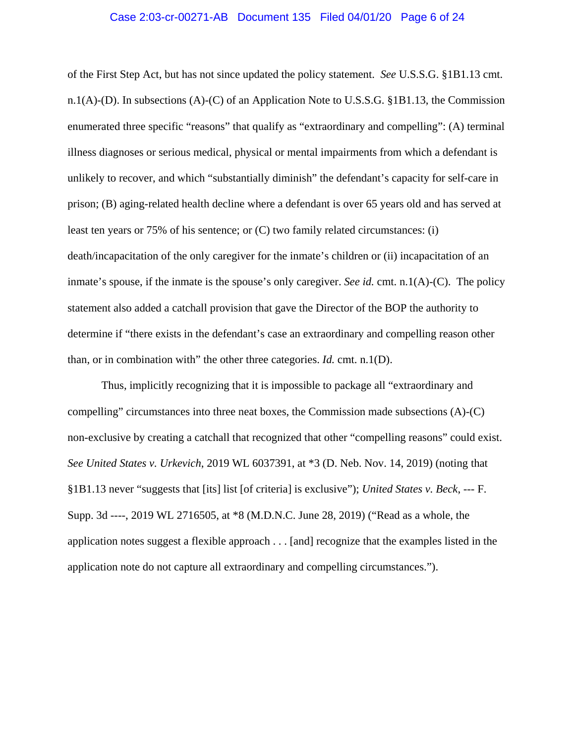#### Case 2:03-cr-00271-AB Document 135 Filed 04/01/20 Page 6 of 24

of the First Step Act, but has not since updated the policy statement. *See* U.S.S.G. §1B1.13 cmt. n.1(A)-(D). In subsections (A)-(C) of an Application Note to U.S.S.G. §1B1.13, the Commission enumerated three specific "reasons" that qualify as "extraordinary and compelling": (A) terminal illness diagnoses or serious medical, physical or mental impairments from which a defendant is unlikely to recover, and which "substantially diminish" the defendant's capacity for self-care in prison; (B) aging-related health decline where a defendant is over 65 years old and has served at least ten years or 75% of his sentence; or (C) two family related circumstances: (i) death/incapacitation of the only caregiver for the inmate's children or (ii) incapacitation of an inmate's spouse, if the inmate is the spouse's only caregiver. *See id.* cmt. n.1(A)-(C). The policy statement also added a catchall provision that gave the Director of the BOP the authority to determine if "there exists in the defendant's case an extraordinary and compelling reason other than, or in combination with" the other three categories. *Id.* cmt. n.1(D).

Thus, implicitly recognizing that it is impossible to package all "extraordinary and compelling" circumstances into three neat boxes, the Commission made subsections  $(A)-C$ non-exclusive by creating a catchall that recognized that other "compelling reasons" could exist. *See United States v. Urkevich*, 2019 WL 6037391, at \*3 (D. Neb. Nov. 14, 2019) (noting that §1B1.13 never "suggests that [its] list [of criteria] is exclusive"); *United States v. Beck*, --- F. Supp. 3d ----, 2019 WL 2716505, at \*8 (M.D.N.C. June 28, 2019) ("Read as a whole, the application notes suggest a flexible approach . . . [and] recognize that the examples listed in the application note do not capture all extraordinary and compelling circumstances.").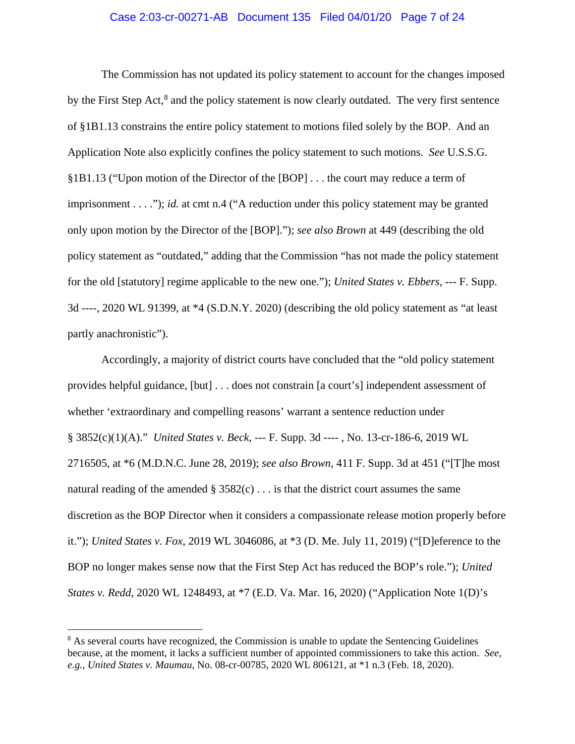## Case 2:03-cr-00271-AB Document 135 Filed 04/01/20 Page 7 of 24

The Commission has not updated its policy statement to account for the changes imposed by the First Step Act, $^8$  and the policy statement is now clearly outdated. The very first sentence of §1B1.13 constrains the entire policy statement to motions filed solely by the BOP. And an Application Note also explicitly confines the policy statement to such motions. *See* U.S.S.G. §1B1.13 ("Upon motion of the Director of the [BOP] . . . the court may reduce a term of imprisonment . . . ."); *id.* at cmt n.4 ("A reduction under this policy statement may be granted only upon motion by the Director of the [BOP]."); *see also Brown* at 449 (describing the old policy statement as "outdated," adding that the Commission "has not made the policy statement for the old [statutory] regime applicable to the new one."); *United States v. Ebbers*, --- F. Supp. 3d ----, 2020 WL 91399, at \*4 (S.D.N.Y. 2020) (describing the old policy statement as "at least partly anachronistic").

Accordingly, a majority of district courts have concluded that the "old policy statement provides helpful guidance, [but] . . . does not constrain [a court's] independent assessment of whether 'extraordinary and compelling reasons' warrant a sentence reduction under § 3852(c)(1)(A)." *United States v. Beck*, --- F. Supp. 3d ---- , No. 13-cr-186-6, 2019 WL 2716505, at \*6 (M.D.N.C. June 28, 2019); *see also Brown*, 411 F. Supp. 3d at 451 ("[T]he most natural reading of the amended  $\S 3582(c) \ldots$  is that the district court assumes the same discretion as the BOP Director when it considers a compassionate release motion properly before it."); *United States v. Fox*, 2019 WL 3046086, at \*3 (D. Me. July 11, 2019) ("[D]eference to the BOP no longer makes sense now that the First Step Act has reduced the BOP's role."); *United States v. Redd*, 2020 WL 1248493, at \*7 (E.D. Va. Mar. 16, 2020) ("Application Note 1(D)'s

<sup>&</sup>lt;sup>8</sup> As several courts have recognized, the Commission is unable to update the Sentencing Guidelines because, at the moment, it lacks a sufficient number of appointed commissioners to take this action. *See, e.g.*, *United States v. Maumau*, No. 08-cr-00785, 2020 WL 806121, at \*1 n.3 (Feb. 18, 2020).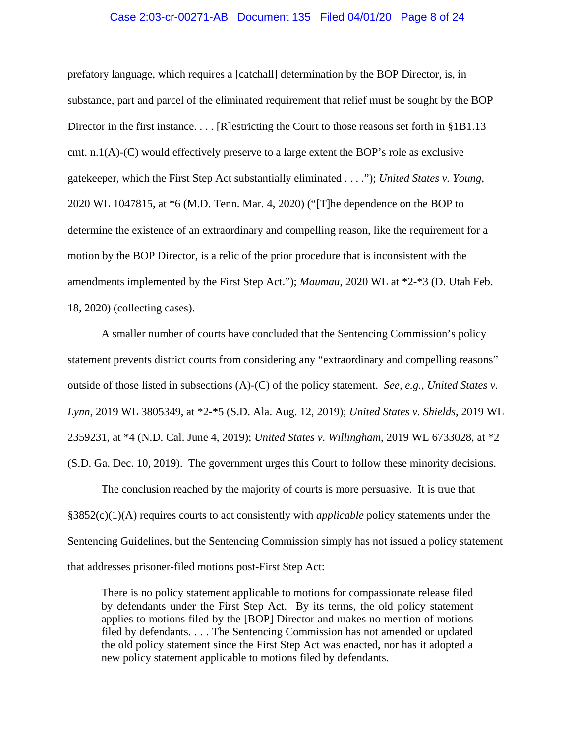#### Case 2:03-cr-00271-AB Document 135 Filed 04/01/20 Page 8 of 24

prefatory language, which requires a [catchall] determination by the BOP Director, is, in substance, part and parcel of the eliminated requirement that relief must be sought by the BOP Director in the first instance. . . . [R]estricting the Court to those reasons set forth in §1B1.13 cmt. n.1(A)-(C) would effectively preserve to a large extent the BOP's role as exclusive gatekeeper, which the First Step Act substantially eliminated . . . ."); *United States v. Young*, 2020 WL 1047815, at \*6 (M.D. Tenn. Mar. 4, 2020) ("[T]he dependence on the BOP to determine the existence of an extraordinary and compelling reason, like the requirement for a motion by the BOP Director, is a relic of the prior procedure that is inconsistent with the amendments implemented by the First Step Act."); *Maumau*, 2020 WL at \*2-\*3 (D. Utah Feb. 18, 2020) (collecting cases).

A smaller number of courts have concluded that the Sentencing Commission's policy statement prevents district courts from considering any "extraordinary and compelling reasons" outside of those listed in subsections (A)-(C) of the policy statement. *See, e.g., United States v. Lynn,* 2019 WL 3805349, at \*2-\*5 (S.D. Ala. Aug. 12, 2019); *United States v. Shields*, 2019 WL 2359231, at \*4 (N.D. Cal. June 4, 2019); *United States v. Willingham*, 2019 WL 6733028, at \*2 (S.D. Ga. Dec. 10, 2019). The government urges this Court to follow these minority decisions.

The conclusion reached by the majority of courts is more persuasive. It is true that §3852(c)(1)(A) requires courts to act consistently with *applicable* policy statements under the Sentencing Guidelines, but the Sentencing Commission simply has not issued a policy statement that addresses prisoner-filed motions post-First Step Act:

There is no policy statement applicable to motions for compassionate release filed by defendants under the First Step Act. By its terms, the old policy statement applies to motions filed by the [BOP] Director and makes no mention of motions filed by defendants. . . . The Sentencing Commission has not amended or updated the old policy statement since the First Step Act was enacted, nor has it adopted a new policy statement applicable to motions filed by defendants.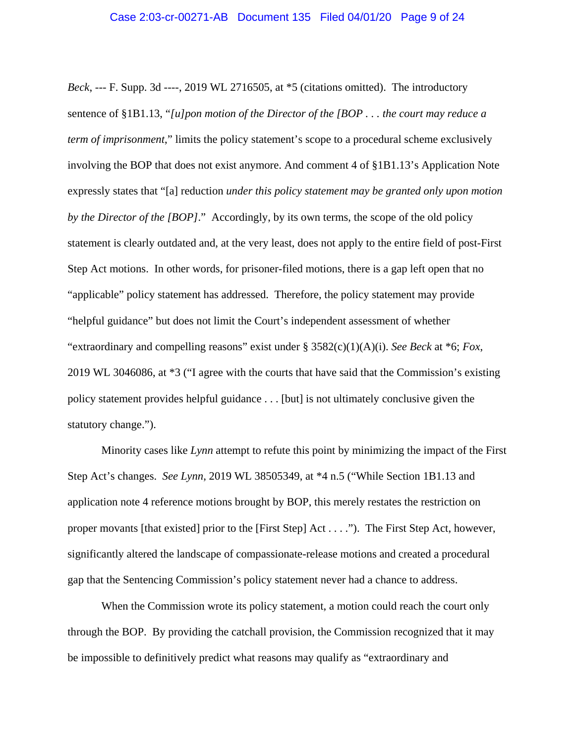*Beck*, --- F. Supp. 3d ----, 2019 WL 2716505, at \*5 (citations omitted). The introductory sentence of §1B1.13, "*[u]pon motion of the Director of the [BOP . . . the court may reduce a term of imprisonment*," limits the policy statement's scope to a procedural scheme exclusively involving the BOP that does not exist anymore. And comment 4 of §1B1.13's Application Note expressly states that "[a] reduction *under this policy statement may be granted only upon motion by the Director of the [BOP]*." Accordingly, by its own terms, the scope of the old policy statement is clearly outdated and, at the very least, does not apply to the entire field of post-First Step Act motions. In other words, for prisoner-filed motions, there is a gap left open that no "applicable" policy statement has addressed. Therefore, the policy statement may provide "helpful guidance" but does not limit the Court's independent assessment of whether "extraordinary and compelling reasons" exist under § 3582(c)(1)(A)(i). *See Beck* at \*6; *Fox*, 2019 WL 3046086, at \*3 ("I agree with the courts that have said that the Commission's existing policy statement provides helpful guidance . . . [but] is not ultimately conclusive given the statutory change.").

Minority cases like *Lynn* attempt to refute this point by minimizing the impact of the First Step Act's changes. *See Lynn*, 2019 WL 38505349, at \*4 n.5 ("While Section 1B1.13 and application note 4 reference motions brought by BOP, this merely restates the restriction on proper movants [that existed] prior to the [First Step] Act . . . ."). The First Step Act, however, significantly altered the landscape of compassionate-release motions and created a procedural gap that the Sentencing Commission's policy statement never had a chance to address.

When the Commission wrote its policy statement, a motion could reach the court only through the BOP. By providing the catchall provision, the Commission recognized that it may be impossible to definitively predict what reasons may qualify as "extraordinary and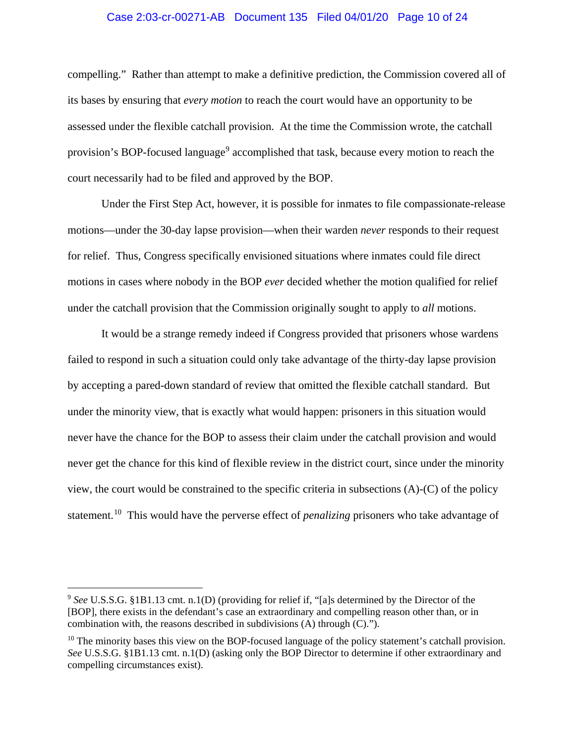## Case 2:03-cr-00271-AB Document 135 Filed 04/01/20 Page 10 of 24

compelling." Rather than attempt to make a definitive prediction, the Commission covered all of its bases by ensuring that *every motion* to reach the court would have an opportunity to be assessed under the flexible catchall provision. At the time the Commission wrote, the catchall provision's BOP-focused language<sup>9</sup> accomplished that task, because every motion to reach the court necessarily had to be filed and approved by the BOP.

Under the First Step Act, however, it is possible for inmates to file compassionate-release motions—under the 30-day lapse provision—when their warden *never* responds to their request for relief. Thus, Congress specifically envisioned situations where inmates could file direct motions in cases where nobody in the BOP *ever* decided whether the motion qualified for relief under the catchall provision that the Commission originally sought to apply to *all* motions.

It would be a strange remedy indeed if Congress provided that prisoners whose wardens failed to respond in such a situation could only take advantage of the thirty-day lapse provision by accepting a pared-down standard of review that omitted the flexible catchall standard. But under the minority view, that is exactly what would happen: prisoners in this situation would never have the chance for the BOP to assess their claim under the catchall provision and would never get the chance for this kind of flexible review in the district court, since under the minority view, the court would be constrained to the specific criteria in subsections (A)-(C) of the policy statement.10 This would have the perverse effect of *penalizing* prisoners who take advantage of

<sup>9</sup> *See* U.S.S.G. §1B1.13 cmt. n.1(D) (providing for relief if, "[a]s determined by the Director of the [BOP], there exists in the defendant's case an extraordinary and compelling reason other than, or in combination with, the reasons described in subdivisions (A) through (C).").

<sup>&</sup>lt;sup>10</sup> The minority bases this view on the BOP-focused language of the policy statement's catchall provision. *See* U.S.S.G. §1B1.13 cmt. n.1(D) (asking only the BOP Director to determine if other extraordinary and compelling circumstances exist).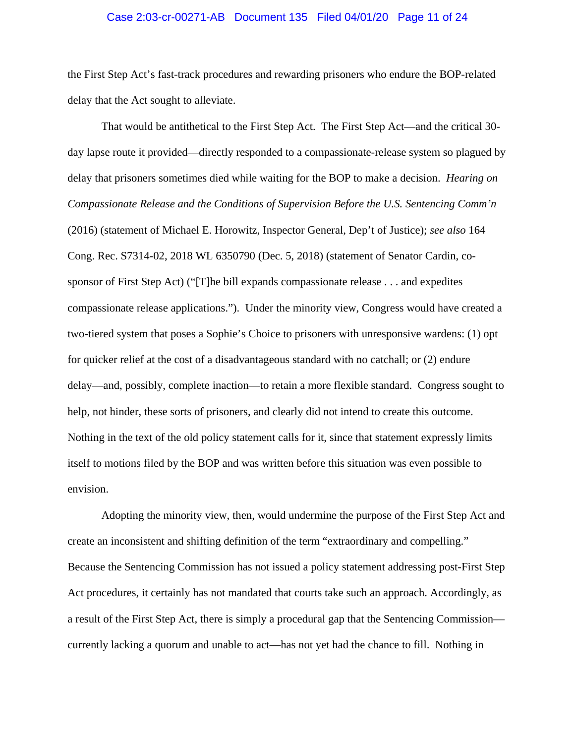#### Case 2:03-cr-00271-AB Document 135 Filed 04/01/20 Page 11 of 24

the First Step Act's fast-track procedures and rewarding prisoners who endure the BOP-related delay that the Act sought to alleviate.

That would be antithetical to the First Step Act. The First Step Act—and the critical 30 day lapse route it provided—directly responded to a compassionate-release system so plagued by delay that prisoners sometimes died while waiting for the BOP to make a decision. *Hearing on Compassionate Release and the Conditions of Supervision Before the U.S. Sentencing Comm'n* (2016) (statement of Michael E. Horowitz, Inspector General, Dep't of Justice); *see also* 164 Cong. Rec. S7314-02, 2018 WL 6350790 (Dec. 5, 2018) (statement of Senator Cardin, cosponsor of First Step Act) ("[T]he bill expands compassionate release . . . and expedites compassionate release applications."). Under the minority view, Congress would have created a two-tiered system that poses a Sophie's Choice to prisoners with unresponsive wardens: (1) opt for quicker relief at the cost of a disadvantageous standard with no catchall; or (2) endure delay—and, possibly, complete inaction—to retain a more flexible standard. Congress sought to help, not hinder, these sorts of prisoners, and clearly did not intend to create this outcome. Nothing in the text of the old policy statement calls for it, since that statement expressly limits itself to motions filed by the BOP and was written before this situation was even possible to envision.

Adopting the minority view, then, would undermine the purpose of the First Step Act and create an inconsistent and shifting definition of the term "extraordinary and compelling." Because the Sentencing Commission has not issued a policy statement addressing post-First Step Act procedures, it certainly has not mandated that courts take such an approach. Accordingly, as a result of the First Step Act, there is simply a procedural gap that the Sentencing Commission currently lacking a quorum and unable to act—has not yet had the chance to fill. Nothing in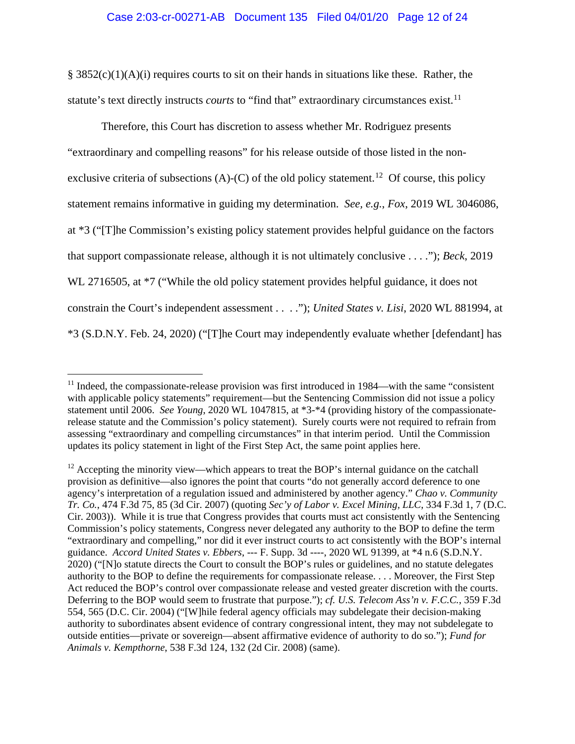$§ 3852(c)(1)(A)(i)$  requires courts to sit on their hands in situations like these. Rather, the statute's text directly instructs *courts* to "find that" extraordinary circumstances exist.<sup>11</sup>

Therefore, this Court has discretion to assess whether Mr. Rodriguez presents "extraordinary and compelling reasons" for his release outside of those listed in the nonexclusive criteria of subsections  $(A)$ - $(C)$  of the old policy statement.<sup>12</sup> Of course, this policy statement remains informative in guiding my determination. *See, e.g.*, *Fox*, 2019 WL 3046086, at \*3 ("[T]he Commission's existing policy statement provides helpful guidance on the factors that support compassionate release, although it is not ultimately conclusive . . . ."); *Beck*, 2019 WL 2716505, at  $*7$  ("While the old policy statement provides helpful guidance, it does not constrain the Court's independent assessment . . . ."); *United States v. Lisi*, 2020 WL 881994, at \*3 (S.D.N.Y. Feb. 24, 2020) ("[T]he Court may independently evaluate whether [defendant] has

 $11$  Indeed, the compassionate-release provision was first introduced in 1984—with the same "consistent" with applicable policy statements" requirement—but the Sentencing Commission did not issue a policy statement until 2006. *See Young*, 2020 WL 1047815, at \*3-\*4 (providing history of the compassionaterelease statute and the Commission's policy statement). Surely courts were not required to refrain from assessing "extraordinary and compelling circumstances" in that interim period. Until the Commission updates its policy statement in light of the First Step Act, the same point applies here.

 $12$  Accepting the minority view—which appears to treat the BOP's internal guidance on the catchall provision as definitive—also ignores the point that courts "do not generally accord deference to one agency's interpretation of a regulation issued and administered by another agency." *Chao v. Community Tr. Co.*, 474 F.3d 75, 85 (3d Cir. 2007) (quoting *Sec'y of Labor v. Excel Mining, LLC*, 334 F.3d 1, 7 (D.C. Cir. 2003)). While it is true that Congress provides that courts must act consistently with the Sentencing Commission's policy statements, Congress never delegated any authority to the BOP to define the term "extraordinary and compelling," nor did it ever instruct courts to act consistently with the BOP's internal guidance. *Accord United States v. Ebbers*, --- F. Supp. 3d ----, 2020 WL 91399, at \*4 n.6 (S.D.N.Y. 2020) ("[N]o statute directs the Court to consult the BOP's rules or guidelines, and no statute delegates authority to the BOP to define the requirements for compassionate release. . . . Moreover, the First Step Act reduced the BOP's control over compassionate release and vested greater discretion with the courts. Deferring to the BOP would seem to frustrate that purpose."); *cf. U.S. Telecom Ass'n v. F.C.C.*, 359 F.3d 554, 565 (D.C. Cir. 2004) ("[W]hile federal agency officials may subdelegate their decision-making authority to subordinates absent evidence of contrary congressional intent, they may not subdelegate to outside entities—private or sovereign—absent affirmative evidence of authority to do so."); *Fund for Animals v. Kempthorne*, 538 F.3d 124, 132 (2d Cir. 2008) (same).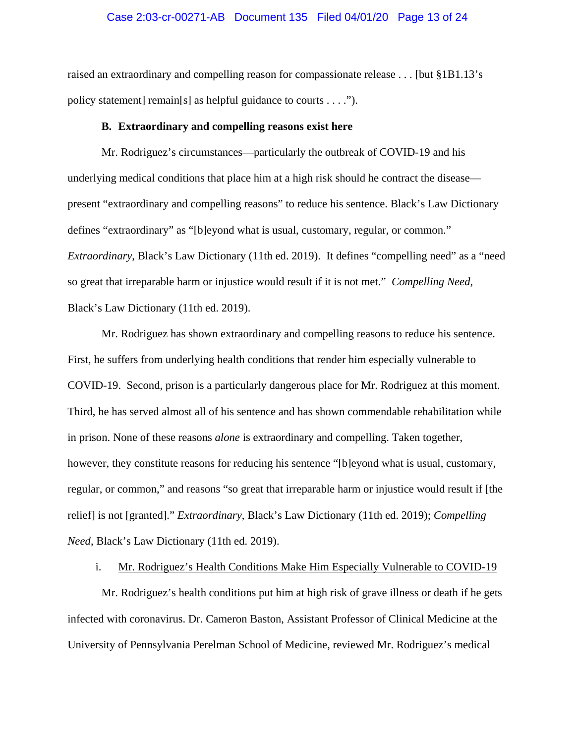## Case 2:03-cr-00271-AB Document 135 Filed 04/01/20 Page 13 of 24

raised an extraordinary and compelling reason for compassionate release . . . [but §1B1.13's policy statement] remain[s] as helpful guidance to courts . . . .").

#### **B. Extraordinary and compelling reasons exist here**

Mr. Rodriguez's circumstances—particularly the outbreak of COVID-19 and his underlying medical conditions that place him at a high risk should he contract the disease present "extraordinary and compelling reasons" to reduce his sentence. Black's Law Dictionary defines "extraordinary" as "[b]eyond what is usual, customary, regular, or common." *Extraordinary*, Black's Law Dictionary (11th ed. 2019). It defines "compelling need" as a "need" so great that irreparable harm or injustice would result if it is not met." *Compelling Need*, Black's Law Dictionary (11th ed. 2019).

Mr. Rodriguez has shown extraordinary and compelling reasons to reduce his sentence. First, he suffers from underlying health conditions that render him especially vulnerable to COVID-19. Second, prison is a particularly dangerous place for Mr. Rodriguez at this moment. Third, he has served almost all of his sentence and has shown commendable rehabilitation while in prison. None of these reasons *alone* is extraordinary and compelling. Taken together, however, they constitute reasons for reducing his sentence "[b]eyond what is usual, customary, regular, or common," and reasons "so great that irreparable harm or injustice would result if [the relief] is not [granted]." *Extraordinary*, Black's Law Dictionary (11th ed. 2019); *Compelling Need*, Black's Law Dictionary (11th ed. 2019).

#### i. Mr. Rodriguez's Health Conditions Make Him Especially Vulnerable to COVID-19

Mr. Rodriguez's health conditions put him at high risk of grave illness or death if he gets infected with coronavirus. Dr. Cameron Baston, Assistant Professor of Clinical Medicine at the University of Pennsylvania Perelman School of Medicine, reviewed Mr. Rodriguez's medical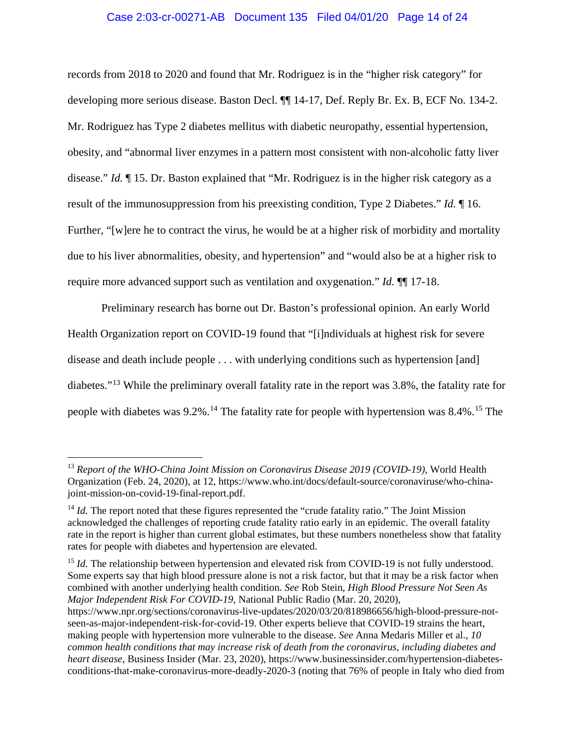## Case 2:03-cr-00271-AB Document 135 Filed 04/01/20 Page 14 of 24

records from 2018 to 2020 and found that Mr. Rodriguez is in the "higher risk category" for developing more serious disease. Baston Decl. ¶¶ 14-17, Def. Reply Br. Ex. B, ECF No. 134-2. Mr. Rodriguez has Type 2 diabetes mellitus with diabetic neuropathy, essential hypertension, obesity, and "abnormal liver enzymes in a pattern most consistent with non-alcoholic fatty liver disease." *Id.* ¶ 15. Dr. Baston explained that "Mr. Rodriguez is in the higher risk category as a result of the immunosuppression from his preexisting condition, Type 2 Diabetes." *Id.* ¶ 16. Further, "[w]ere he to contract the virus, he would be at a higher risk of morbidity and mortality due to his liver abnormalities, obesity, and hypertension" and "would also be at a higher risk to require more advanced support such as ventilation and oxygenation." *Id.* ¶¶ 17-18.

Preliminary research has borne out Dr. Baston's professional opinion. An early World Health Organization report on COVID-19 found that "[i]ndividuals at highest risk for severe disease and death include people . . . with underlying conditions such as hypertension [and] diabetes."<sup>13</sup> While the preliminary overall fatality rate in the report was 3.8%, the fatality rate for people with diabetes was  $9.2\%$ .<sup>14</sup> The fatality rate for people with hypertension was  $8.4\%$ .<sup>15</sup> The

 $\overline{a}$ 

<sup>15</sup> *Id.* The relationship between hypertension and elevated risk from COVID-19 is not fully understood. Some experts say that high blood pressure alone is not a risk factor, but that it may be a risk factor when combined with another underlying health condition. *See* Rob Stein, *High Blood Pressure Not Seen As Major Independent Risk For COVID-19*, National Public Radio (Mar. 20, 2020),

<sup>13</sup> *Report of the WHO-China Joint Mission on Coronavirus Disease 2019 (COVID-19)*, World Health Organization (Feb. 24, 2020), at 12, https://www.who.int/docs/default-source/coronaviruse/who-chinajoint-mission-on-covid-19-final-report.pdf.

<sup>&</sup>lt;sup>14</sup> *Id.* The report noted that these figures represented the "crude fatality ratio." The Joint Mission acknowledged the challenges of reporting crude fatality ratio early in an epidemic. The overall fatality rate in the report is higher than current global estimates, but these numbers nonetheless show that fatality rates for people with diabetes and hypertension are elevated.

https://www.npr.org/sections/coronavirus-live-updates/2020/03/20/818986656/high-blood-pressure-notseen-as-major-independent-risk-for-covid-19. Other experts believe that COVID-19 strains the heart, making people with hypertension more vulnerable to the disease. *See* Anna Medaris Miller et al., *10 common health conditions that may increase risk of death from the coronavirus, including diabetes and heart disease*, Business Insider (Mar. 23, 2020), https://www.businessinsider.com/hypertension-diabetesconditions-that-make-coronavirus-more-deadly-2020-3 (noting that 76% of people in Italy who died from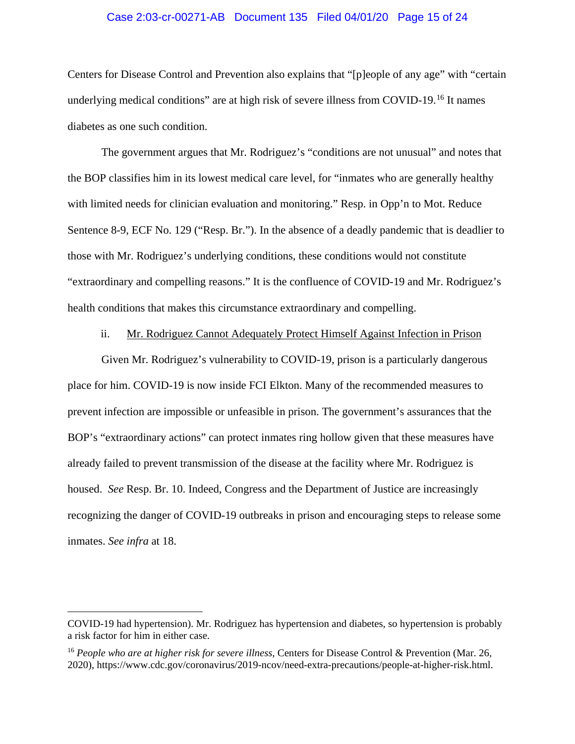## Case 2:03-cr-00271-AB Document 135 Filed 04/01/20 Page 15 of 24

Centers for Disease Control and Prevention also explains that "[p]eople of any age" with "certain underlying medical conditions" are at high risk of severe illness from COVID-19.<sup>16</sup> It names diabetes as one such condition.

The government argues that Mr. Rodriguez's "conditions are not unusual" and notes that the BOP classifies him in its lowest medical care level, for "inmates who are generally healthy with limited needs for clinician evaluation and monitoring." Resp. in Opp'n to Mot. Reduce Sentence 8-9, ECF No. 129 ("Resp. Br."). In the absence of a deadly pandemic that is deadlier to those with Mr. Rodriguez's underlying conditions, these conditions would not constitute "extraordinary and compelling reasons." It is the confluence of COVID-19 and Mr. Rodriguez's health conditions that makes this circumstance extraordinary and compelling.

### ii. Mr. Rodriguez Cannot Adequately Protect Himself Against Infection in Prison

Given Mr. Rodriguez's vulnerability to COVID-19, prison is a particularly dangerous place for him. COVID-19 is now inside FCI Elkton. Many of the recommended measures to prevent infection are impossible or unfeasible in prison. The government's assurances that the BOP's "extraordinary actions" can protect inmates ring hollow given that these measures have already failed to prevent transmission of the disease at the facility where Mr. Rodriguez is housed. *See* Resp. Br. 10. Indeed, Congress and the Department of Justice are increasingly recognizing the danger of COVID-19 outbreaks in prison and encouraging steps to release some inmates. *See infra* at 18.

COVID-19 had hypertension). Mr. Rodriguez has hypertension and diabetes, so hypertension is probably a risk factor for him in either case.

<sup>16</sup> *People who are at higher risk for severe illness*, Centers for Disease Control & Prevention (Mar. 26, 2020), https://www.cdc.gov/coronavirus/2019-ncov/need-extra-precautions/people-at-higher-risk.html.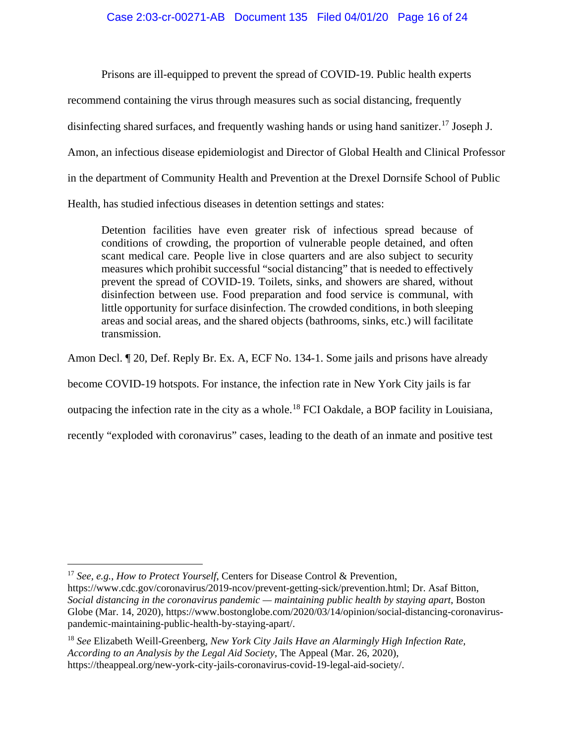# Case 2:03-cr-00271-AB Document 135 Filed 04/01/20 Page 16 of 24

Prisons are ill-equipped to prevent the spread of COVID-19. Public health experts

recommend containing the virus through measures such as social distancing, frequently

disinfecting shared surfaces, and frequently washing hands or using hand sanitizer.<sup>17</sup> Joseph J.

Amon, an infectious disease epidemiologist and Director of Global Health and Clinical Professor

in the department of Community Health and Prevention at the Drexel Dornsife School of Public

Health, has studied infectious diseases in detention settings and states:

Detention facilities have even greater risk of infectious spread because of conditions of crowding, the proportion of vulnerable people detained, and often scant medical care. People live in close quarters and are also subject to security measures which prohibit successful "social distancing" that is needed to effectively prevent the spread of COVID-19. Toilets, sinks, and showers are shared, without disinfection between use. Food preparation and food service is communal, with little opportunity for surface disinfection. The crowded conditions, in both sleeping areas and social areas, and the shared objects (bathrooms, sinks, etc.) will facilitate transmission.

Amon Decl. ¶ 20, Def. Reply Br. Ex. A, ECF No. 134-1. Some jails and prisons have already

become COVID-19 hotspots. For instance, the infection rate in New York City jails is far

outpacing the infection rate in the city as a whole.<sup>18</sup> FCI Oakdale, a BOP facility in Louisiana,

recently "exploded with coronavirus" cases, leading to the death of an inmate and positive test

 $\overline{a}$ <sup>17</sup> *See, e.g.*, *How to Protect Yourself*, Centers for Disease Control & Prevention,

https://www.cdc.gov/coronavirus/2019-ncov/prevent-getting-sick/prevention.html; Dr. Asaf Bitton, *Social distancing in the coronavirus pandemic — maintaining public health by staying apart*, Boston Globe (Mar. 14, 2020), https://www.bostonglobe.com/2020/03/14/opinion/social-distancing-coronaviruspandemic-maintaining-public-health-by-staying-apart/.

<sup>18</sup> *See* Elizabeth Weill-Greenberg, *New York City Jails Have an Alarmingly High Infection Rate, According to an Analysis by the Legal Aid Society*, The Appeal (Mar. 26, 2020), https://theappeal.org/new-york-city-jails-coronavirus-covid-19-legal-aid-society/.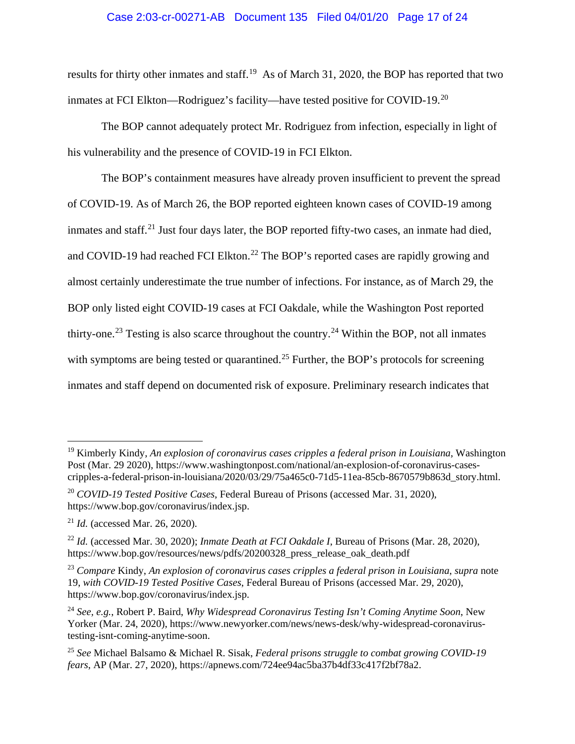# Case 2:03-cr-00271-AB Document 135 Filed 04/01/20 Page 17 of 24

results for thirty other inmates and staff.<sup>19</sup> As of March 31, 2020, the BOP has reported that two inmates at FCI Elkton—Rodriguez's facility—have tested positive for COVID-19.<sup>20</sup>

The BOP cannot adequately protect Mr. Rodriguez from infection, especially in light of his vulnerability and the presence of COVID-19 in FCI Elkton.

The BOP's containment measures have already proven insufficient to prevent the spread of COVID-19. As of March 26, the BOP reported eighteen known cases of COVID-19 among inmates and staff.<sup>21</sup> Just four days later, the BOP reported fifty-two cases, an inmate had died, and COVID-19 had reached FCI Elkton.<sup>22</sup> The BOP's reported cases are rapidly growing and almost certainly underestimate the true number of infections. For instance, as of March 29, the BOP only listed eight COVID-19 cases at FCI Oakdale, while the Washington Post reported thirty-one.<sup>23</sup> Testing is also scarce throughout the country.<sup>24</sup> Within the BOP, not all inmates with symptoms are being tested or quarantined.<sup>25</sup> Further, the BOP's protocols for screening inmates and staff depend on documented risk of exposure. Preliminary research indicates that

<sup>19</sup> Kimberly Kindy, *An explosion of coronavirus cases cripples a federal prison in Louisiana*, Washington Post (Mar. 29 2020), https://www.washingtonpost.com/national/an-explosion-of-coronavirus-casescripples-a-federal-prison-in-louisiana/2020/03/29/75a465c0-71d5-11ea-85cb-8670579b863d\_story.html.

<sup>20</sup> *COVID-19 Tested Positive Cases*, Federal Bureau of Prisons (accessed Mar. 31, 2020), https://www.bop.gov/coronavirus/index.jsp.

<sup>21</sup> *Id.* (accessed Mar. 26, 2020).

<sup>22</sup> *Id.* (accessed Mar. 30, 2020); *Inmate Death at FCI Oakdale I*, Bureau of Prisons (Mar. 28, 2020), https://www.bop.gov/resources/news/pdfs/20200328\_press\_release\_oak\_death.pdf

<sup>23</sup> *Compare* Kindy, *An explosion of coronavirus cases cripples a federal prison in Louisiana*, *supra* note 19, *with COVID-19 Tested Positive Cases*, Federal Bureau of Prisons (accessed Mar. 29, 2020), https://www.bop.gov/coronavirus/index.jsp.

<sup>24</sup> *See, e.g.*, Robert P. Baird, *Why Widespread Coronavirus Testing Isn't Coming Anytime Soon*, New Yorker (Mar. 24, 2020), https://www.newyorker.com/news/news-desk/why-widespread-coronavirustesting-isnt-coming-anytime-soon.

<sup>25</sup> *See* Michael Balsamo & Michael R. Sisak, *Federal prisons struggle to combat growing COVID-19 fears*, AP (Mar. 27, 2020), https://apnews.com/724ee94ac5ba37b4df33c417f2bf78a2.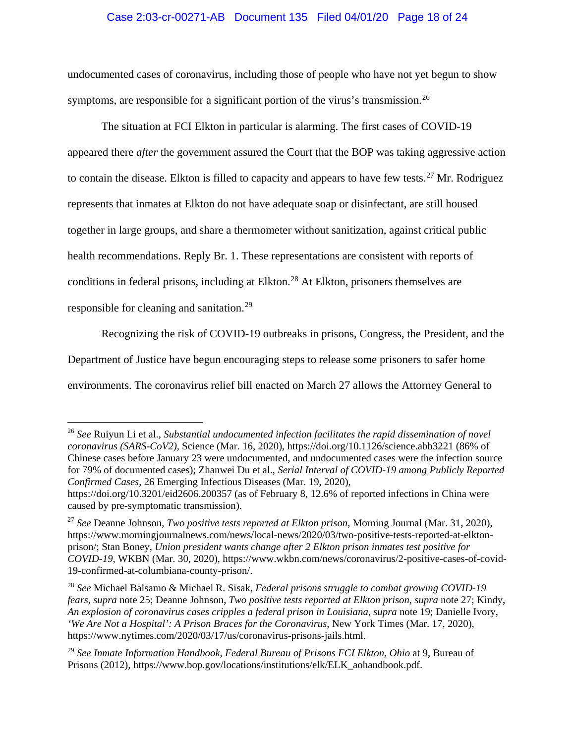# Case 2:03-cr-00271-AB Document 135 Filed 04/01/20 Page 18 of 24

undocumented cases of coronavirus, including those of people who have not yet begun to show symptoms, are responsible for a significant portion of the virus's transmission.<sup>26</sup>

The situation at FCI Elkton in particular is alarming. The first cases of COVID-19 appeared there *after* the government assured the Court that the BOP was taking aggressive action to contain the disease. Elkton is filled to capacity and appears to have few tests.<sup>27</sup> Mr. Rodriguez represents that inmates at Elkton do not have adequate soap or disinfectant, are still housed together in large groups, and share a thermometer without sanitization, against critical public health recommendations. Reply Br. 1. These representations are consistent with reports of conditions in federal prisons, including at Elkton.<sup>28</sup> At Elkton, prisoners themselves are responsible for cleaning and sanitation.<sup>29</sup>

Recognizing the risk of COVID-19 outbreaks in prisons, Congress, the President, and the

Department of Justice have begun encouraging steps to release some prisoners to safer home

environments. The coronavirus relief bill enacted on March 27 allows the Attorney General to

<sup>26</sup> *See* Ruiyun Li et al., *Substantial undocumented infection facilitates the rapid dissemination of novel coronavirus (SARS-CoV2)*, Science (Mar. 16, 2020), https://doi.org/10.1126/science.abb3221 (86% of Chinese cases before January 23 were undocumented, and undocumented cases were the infection source for 79% of documented cases); Zhanwei Du et al., *Serial Interval of COVID-19 among Publicly Reported Confirmed Cases*, 26 Emerging Infectious Diseases (Mar. 19, 2020),

https://doi.org/10.3201/eid2606.200357 (as of February 8, 12.6% of reported infections in China were caused by pre-symptomatic transmission).

<sup>27</sup> *See* Deanne Johnson, *Two positive tests reported at Elkton prison*, Morning Journal (Mar. 31, 2020), https://www.morningjournalnews.com/news/local-news/2020/03/two-positive-tests-reported-at-elktonprison/; Stan Boney, *Union president wants change after 2 Elkton prison inmates test positive for COVID-19*, WKBN (Mar. 30, 2020), https://www.wkbn.com/news/coronavirus/2-positive-cases-of-covid-19-confirmed-at-columbiana-county-prison/.

<sup>28</sup> *See* Michael Balsamo & Michael R. Sisak, *Federal prisons struggle to combat growing COVID-19 fears*, *supra* note 25; Deanne Johnson, *Two positive tests reported at Elkton prison*, *supra* note 27; Kindy, *An explosion of coronavirus cases cripples a federal prison in Louisiana*, *supra* note 19; Danielle Ivory, *'We Are Not a Hospital': A Prison Braces for the Coronavirus*, New York Times (Mar. 17, 2020), https://www.nytimes.com/2020/03/17/us/coronavirus-prisons-jails.html.

<sup>29</sup> *See Inmate Information Handbook*, *Federal Bureau of Prisons FCI Elkton, Ohio* at 9, Bureau of Prisons (2012), https://www.bop.gov/locations/institutions/elk/ELK\_aohandbook.pdf.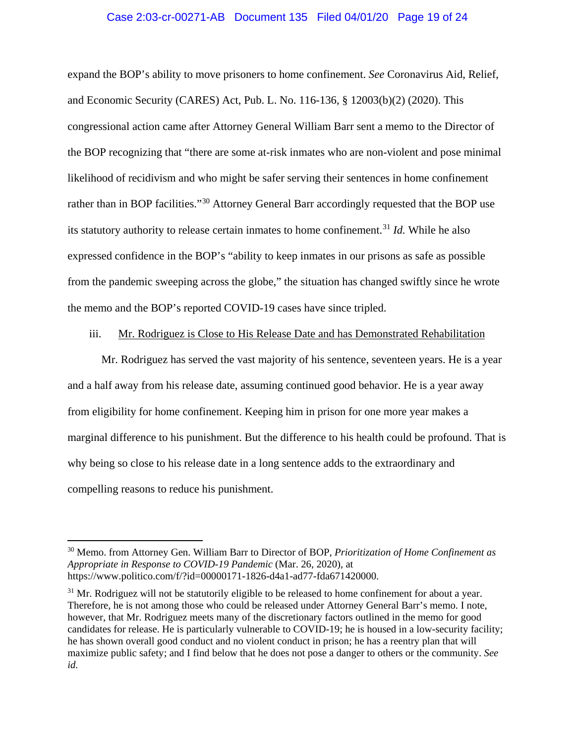### Case 2:03-cr-00271-AB Document 135 Filed 04/01/20 Page 19 of 24

expand the BOP's ability to move prisoners to home confinement. *See* Coronavirus Aid, Relief, and Economic Security (CARES) Act, Pub. L. No. 116-136, § 12003(b)(2) (2020). This congressional action came after Attorney General William Barr sent a memo to the Director of the BOP recognizing that "there are some at-risk inmates who are non-violent and pose minimal likelihood of recidivism and who might be safer serving their sentences in home confinement rather than in BOP facilities."<sup>30</sup> Attorney General Barr accordingly requested that the BOP use its statutory authority to release certain inmates to home confinement.<sup>31</sup> *Id.* While he also expressed confidence in the BOP's "ability to keep inmates in our prisons as safe as possible from the pandemic sweeping across the globe," the situation has changed swiftly since he wrote the memo and the BOP's reported COVID-19 cases have since tripled.

### iii. Mr. Rodriguez is Close to His Release Date and has Demonstrated Rehabilitation

Mr. Rodriguez has served the vast majority of his sentence, seventeen years. He is a year and a half away from his release date, assuming continued good behavior. He is a year away from eligibility for home confinement. Keeping him in prison for one more year makes a marginal difference to his punishment. But the difference to his health could be profound. That is why being so close to his release date in a long sentence adds to the extraordinary and compelling reasons to reduce his punishment.

<sup>30</sup> Memo. from Attorney Gen. William Barr to Director of BOP, *Prioritization of Home Confinement as Appropriate in Response to COVID-19 Pandemic* (Mar. 26, 2020), at https://www.politico.com/f/?id=00000171-1826-d4a1-ad77-fda671420000.

 $31$  Mr. Rodriguez will not be statutorily eligible to be released to home confinement for about a year. Therefore, he is not among those who could be released under Attorney General Barr's memo. I note, however, that Mr. Rodriguez meets many of the discretionary factors outlined in the memo for good candidates for release. He is particularly vulnerable to COVID-19; he is housed in a low-security facility; he has shown overall good conduct and no violent conduct in prison; he has a reentry plan that will maximize public safety; and I find below that he does not pose a danger to others or the community. *See id.*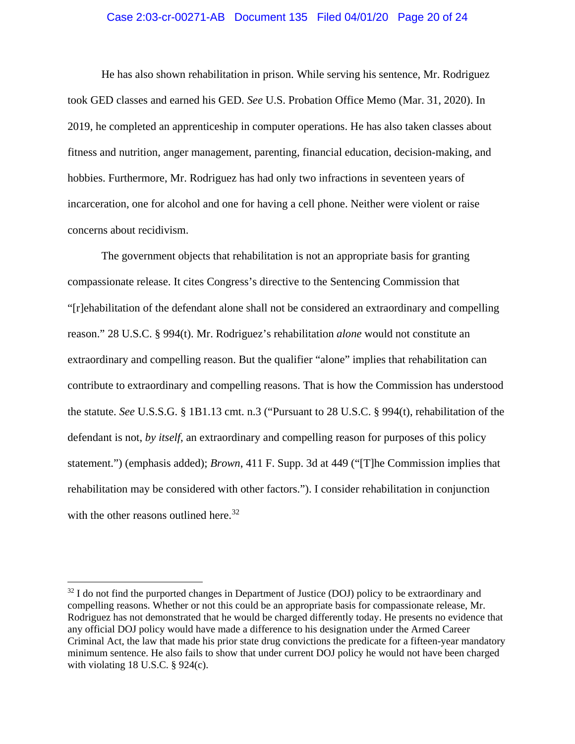## Case 2:03-cr-00271-AB Document 135 Filed 04/01/20 Page 20 of 24

He has also shown rehabilitation in prison. While serving his sentence, Mr. Rodriguez took GED classes and earned his GED. *See* U.S. Probation Office Memo (Mar. 31, 2020). In 2019, he completed an apprenticeship in computer operations. He has also taken classes about fitness and nutrition, anger management, parenting, financial education, decision-making, and hobbies. Furthermore, Mr. Rodriguez has had only two infractions in seventeen years of incarceration, one for alcohol and one for having a cell phone. Neither were violent or raise concerns about recidivism.

The government objects that rehabilitation is not an appropriate basis for granting compassionate release. It cites Congress's directive to the Sentencing Commission that "[r]ehabilitation of the defendant alone shall not be considered an extraordinary and compelling reason." 28 U.S.C. § 994(t). Mr. Rodriguez's rehabilitation *alone* would not constitute an extraordinary and compelling reason. But the qualifier "alone" implies that rehabilitation can contribute to extraordinary and compelling reasons. That is how the Commission has understood the statute. *See* U.S.S.G. § 1B1.13 cmt. n.3 ("Pursuant to 28 U.S.C. § 994(t), rehabilitation of the defendant is not, *by itself*, an extraordinary and compelling reason for purposes of this policy statement.") (emphasis added); *Brown*, 411 F. Supp. 3d at 449 ("[T]he Commission implies that rehabilitation may be considered with other factors."). I consider rehabilitation in conjunction with the other reasons outlined here. $32$ 

 $32$  I do not find the purported changes in Department of Justice (DOJ) policy to be extraordinary and compelling reasons. Whether or not this could be an appropriate basis for compassionate release, Mr. Rodriguez has not demonstrated that he would be charged differently today. He presents no evidence that any official DOJ policy would have made a difference to his designation under the Armed Career Criminal Act, the law that made his prior state drug convictions the predicate for a fifteen-year mandatory minimum sentence. He also fails to show that under current DOJ policy he would not have been charged with violating 18 U.S.C. § 924(c).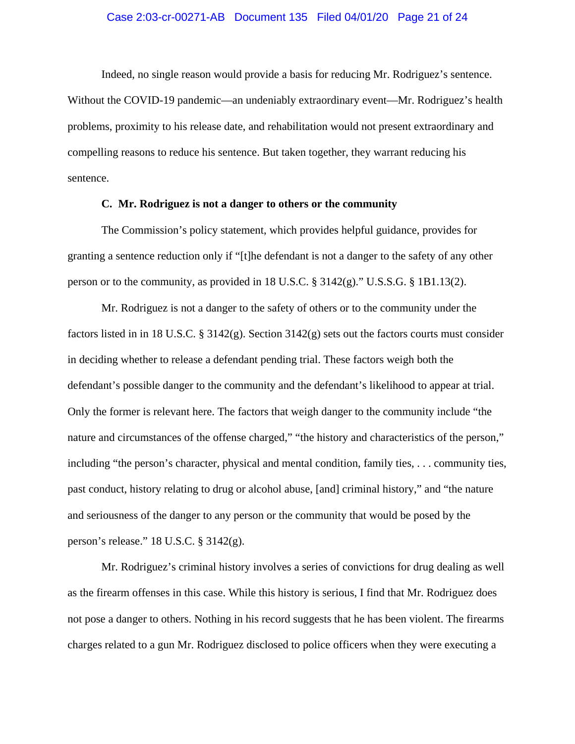#### Case 2:03-cr-00271-AB Document 135 Filed 04/01/20 Page 21 of 24

Indeed, no single reason would provide a basis for reducing Mr. Rodriguez's sentence. Without the COVID-19 pandemic—an undeniably extraordinary event—Mr. Rodriguez's health problems, proximity to his release date, and rehabilitation would not present extraordinary and compelling reasons to reduce his sentence. But taken together, they warrant reducing his sentence.

#### **C. Mr. Rodriguez is not a danger to others or the community**

The Commission's policy statement, which provides helpful guidance, provides for granting a sentence reduction only if "[t]he defendant is not a danger to the safety of any other person or to the community, as provided in 18 U.S.C. § 3142(g)." U.S.S.G. § 1B1.13(2).

Mr. Rodriguez is not a danger to the safety of others or to the community under the factors listed in in 18 U.S.C. § 3142(g). Section 3142(g) sets out the factors courts must consider in deciding whether to release a defendant pending trial. These factors weigh both the defendant's possible danger to the community and the defendant's likelihood to appear at trial. Only the former is relevant here. The factors that weigh danger to the community include "the nature and circumstances of the offense charged," "the history and characteristics of the person," including "the person's character, physical and mental condition, family ties, . . . community ties, past conduct, history relating to drug or alcohol abuse, [and] criminal history," and "the nature and seriousness of the danger to any person or the community that would be posed by the person's release." 18 U.S.C. § 3142(g).

Mr. Rodriguez's criminal history involves a series of convictions for drug dealing as well as the firearm offenses in this case. While this history is serious, I find that Mr. Rodriguez does not pose a danger to others. Nothing in his record suggests that he has been violent. The firearms charges related to a gun Mr. Rodriguez disclosed to police officers when they were executing a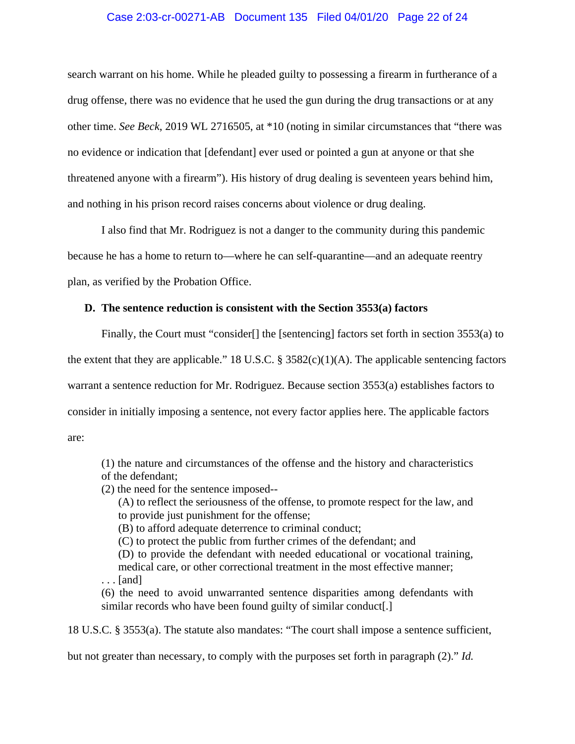## Case 2:03-cr-00271-AB Document 135 Filed 04/01/20 Page 22 of 24

search warrant on his home. While he pleaded guilty to possessing a firearm in furtherance of a drug offense, there was no evidence that he used the gun during the drug transactions or at any other time. *See Beck*, 2019 WL 2716505, at \*10 (noting in similar circumstances that "there was no evidence or indication that [defendant] ever used or pointed a gun at anyone or that she threatened anyone with a firearm"). His history of drug dealing is seventeen years behind him, and nothing in his prison record raises concerns about violence or drug dealing.

I also find that Mr. Rodriguez is not a danger to the community during this pandemic because he has a home to return to—where he can self-quarantine—and an adequate reentry plan, as verified by the Probation Office.

## **D. The sentence reduction is consistent with the Section 3553(a) factors**

Finally, the Court must "consider<sup>[]</sup> the [sentencing] factors set forth in section 3553(a) to the extent that they are applicable." 18 U.S.C.  $\S$  3582(c)(1)(A). The applicable sentencing factors warrant a sentence reduction for Mr. Rodriguez. Because section 3553(a) establishes factors to consider in initially imposing a sentence, not every factor applies here. The applicable factors are:

(1) the nature and circumstances of the offense and the history and characteristics of the defendant;

(2) the need for the sentence imposed--

(A) to reflect the seriousness of the offense, to promote respect for the law, and to provide just punishment for the offense;

(B) to afford adequate deterrence to criminal conduct;

(C) to protect the public from further crimes of the defendant; and

(D) to provide the defendant with needed educational or vocational training, medical care, or other correctional treatment in the most effective manner; . . . [and]

(6) the need to avoid unwarranted sentence disparities among defendants with similar records who have been found guilty of similar conduct.

18 U.S.C. § 3553(a). The statute also mandates: "The court shall impose a sentence sufficient,

but not greater than necessary, to comply with the purposes set forth in paragraph (2)." *Id.*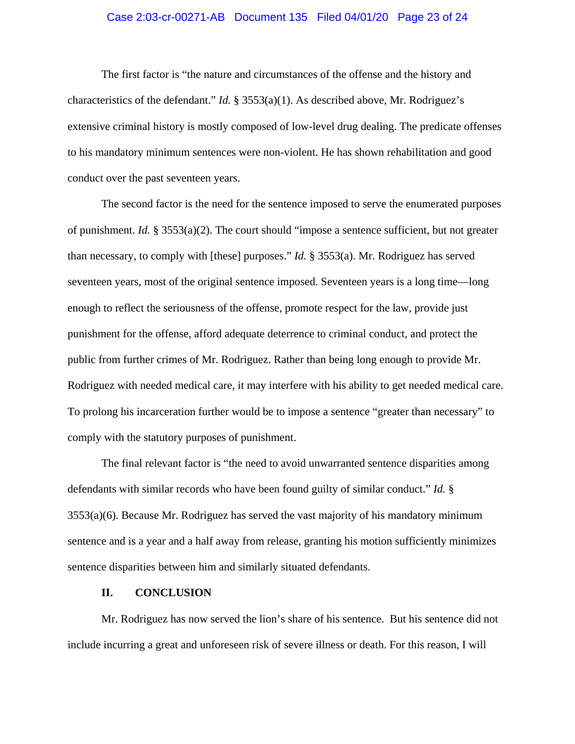## Case 2:03-cr-00271-AB Document 135 Filed 04/01/20 Page 23 of 24

The first factor is "the nature and circumstances of the offense and the history and characteristics of the defendant." *Id.* § 3553(a)(1). As described above, Mr. Rodriguez's extensive criminal history is mostly composed of low-level drug dealing. The predicate offenses to his mandatory minimum sentences were non-violent. He has shown rehabilitation and good conduct over the past seventeen years.

The second factor is the need for the sentence imposed to serve the enumerated purposes of punishment. *Id.* § 3553(a)(2). The court should "impose a sentence sufficient, but not greater than necessary, to comply with [these] purposes." *Id.* § 3553(a). Mr. Rodriguez has served seventeen years, most of the original sentence imposed. Seventeen years is a long time—long enough to reflect the seriousness of the offense, promote respect for the law, provide just punishment for the offense, afford adequate deterrence to criminal conduct, and protect the public from further crimes of Mr. Rodriguez. Rather than being long enough to provide Mr. Rodriguez with needed medical care, it may interfere with his ability to get needed medical care. To prolong his incarceration further would be to impose a sentence "greater than necessary" to comply with the statutory purposes of punishment.

The final relevant factor is "the need to avoid unwarranted sentence disparities among defendants with similar records who have been found guilty of similar conduct." *Id.* § 3553(a)(6). Because Mr. Rodriguez has served the vast majority of his mandatory minimum sentence and is a year and a half away from release, granting his motion sufficiently minimizes sentence disparities between him and similarly situated defendants.

#### **II. CONCLUSION**

Mr. Rodriguez has now served the lion's share of his sentence. But his sentence did not include incurring a great and unforeseen risk of severe illness or death. For this reason, I will